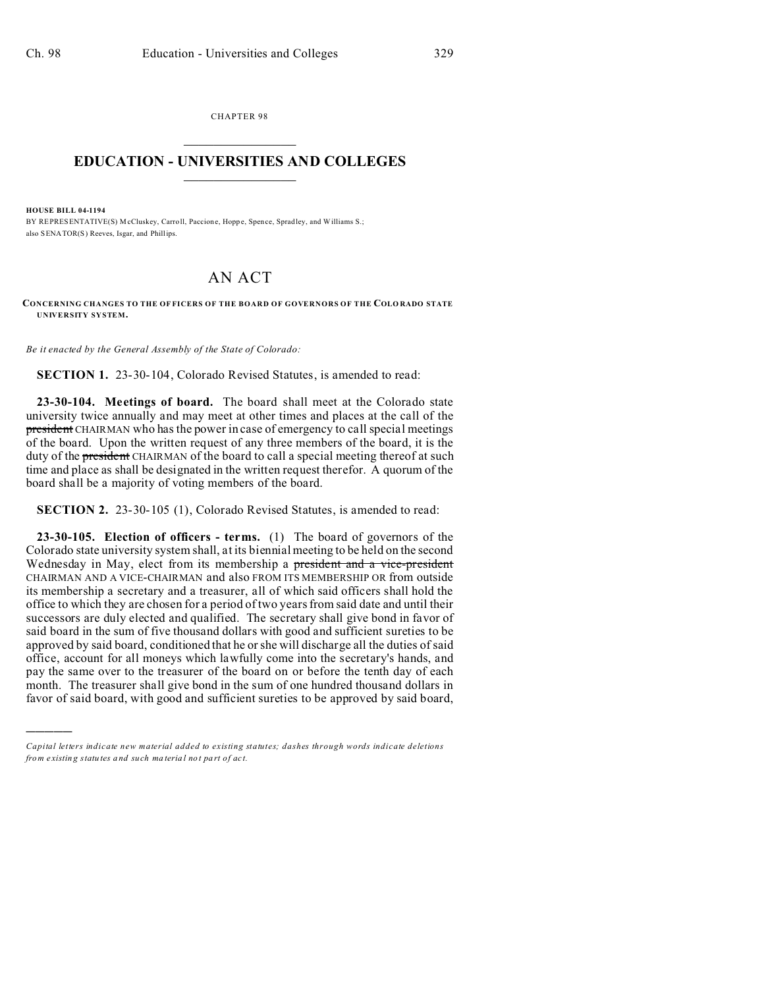CHAPTER 98  $\overline{\phantom{a}}$  , where  $\overline{\phantom{a}}$ 

## **EDUCATION - UNIVERSITIES AND COLLEGES**  $\frac{1}{2}$

**HOUSE BILL 04-1194**

)))))

BY REPRESENTATIVE(S) McCluskey, Carroll, Paccione, Hoppe, Spence, Spradley, and Williams S.; also SENATOR(S) Reeves, Isgar, and Phillips.

## AN ACT

**CONCERNING CHANGES TO THE OF FICERS OF THE BOARD OF GOVERNORS OF THE COLO RADO STATE UNIVERSITY SYSTEM.**

*Be it enacted by the General Assembly of the State of Colorado:*

**SECTION 1.** 23-30-104, Colorado Revised Statutes, is amended to read:

**23-30-104. Meetings of board.** The board shall meet at the Colorado state university twice annually and may meet at other times and places at the call of the president CHAIRMAN who has the power in case of emergency to call special meetings of the board. Upon the written request of any three members of the board, it is the duty of the president CHAIRMAN of the board to call a special meeting thereof at such time and place as shall be designated in the written request therefor. A quorum of the board shall be a majority of voting members of the board.

**SECTION 2.** 23-30-105 (1), Colorado Revised Statutes, is amended to read:

**23-30-105. Election of officers - terms.** (1) The board of governors of the Colorado state university system shall, at its biennial meeting to be held on the second Wednesday in May, elect from its membership a president and a vice-president CHAIRMAN AND A VICE-CHAIRMAN and also FROM ITS MEMBERSHIP OR from outside its membership a secretary and a treasurer, all of which said officers shall hold the office to which they are chosen for a period of two years from said date and until their successors are duly elected and qualified. The secretary shall give bond in favor of said board in the sum of five thousand dollars with good and sufficient sureties to be approved by said board, conditioned that he or she will discharge all the duties of said office, account for all moneys which lawfully come into the secretary's hands, and pay the same over to the treasurer of the board on or before the tenth day of each month. The treasurer shall give bond in the sum of one hundred thousand dollars in favor of said board, with good and sufficient sureties to be approved by said board,

*Capital letters indicate new material added to existing statutes; dashes through words indicate deletions from e xistin g statu tes a nd such ma teria l no t pa rt of ac t.*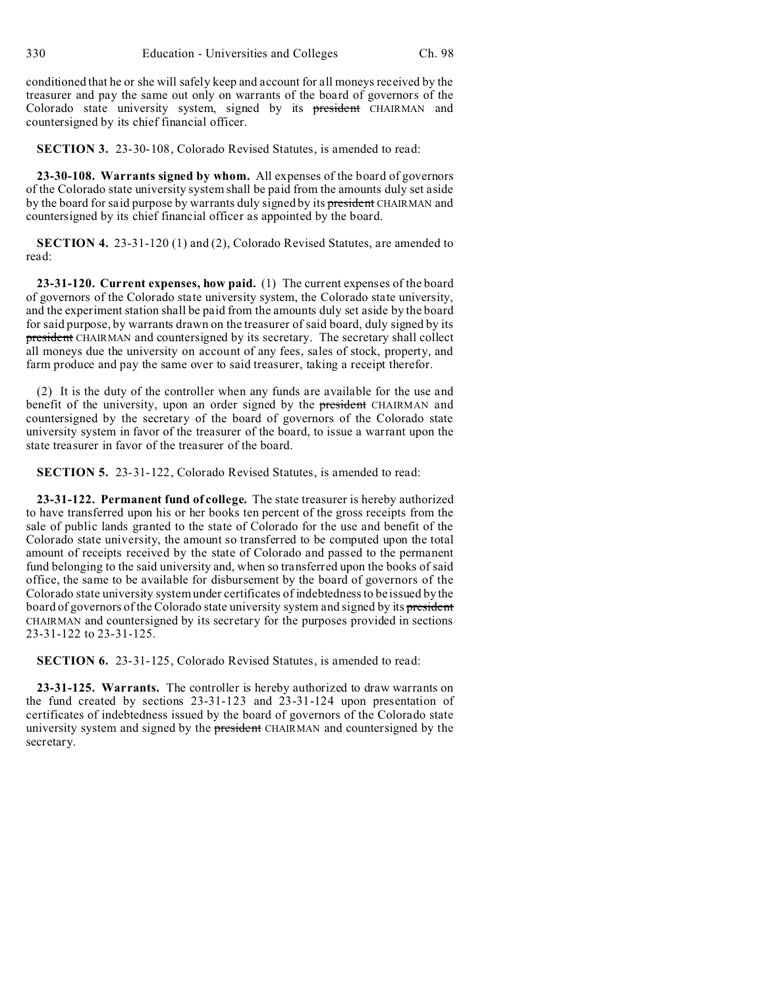conditioned that he or she will safely keep and account for all moneys received by the treasurer and pay the same out only on warrants of the board of governors of the Colorado state university system, signed by its president CHAIRMAN and countersigned by its chief financial officer.

**SECTION 3.** 23-30-108, Colorado Revised Statutes, is amended to read:

**23-30-108. Warrants signed by whom.** All expenses of the board of governors of the Colorado state university system shall be paid from the amounts duly set aside by the board for said purpose by warrants duly signed by its president CHAIRMAN and countersigned by its chief financial officer as appointed by the board.

**SECTION 4.** 23-31-120 (1) and (2), Colorado Revised Statutes, are amended to read:

**23-31-120. Current expenses, how paid.** (1) The current expenses of the board of governors of the Colorado state university system, the Colorado state university, and the experiment station shall be paid from the amounts duly set aside by the board for said purpose, by warrants drawn on the treasurer of said board, duly signed by its president CHAIRMAN and countersigned by its secretary. The secretary shall collect all moneys due the university on account of any fees, sales of stock, property, and farm produce and pay the same over to said treasurer, taking a receipt therefor.

(2) It is the duty of the controller when any funds are available for the use and benefit of the university, upon an order signed by the president CHAIRMAN and countersigned by the secretary of the board of governors of the Colorado state university system in favor of the treasurer of the board, to issue a warrant upon the state treasurer in favor of the treasurer of the board.

**SECTION 5.** 23-31-122, Colorado Revised Statutes, is amended to read:

**23-31-122. Permanent fund of college.** The state treasurer is hereby authorized to have transferred upon his or her books ten percent of the gross receipts from the sale of public lands granted to the state of Colorado for the use and benefit of the Colorado state university, the amount so transferred to be computed upon the total amount of receipts received by the state of Colorado and passed to the permanent fund belonging to the said university and, when so transferred upon the books of said office, the same to be available for disbursement by the board of governors of the Colorado state university system under certificates of indebtedness to be issued by the board of governors of the Colorado state university system and signed by its president CHAIRMAN and countersigned by its secretary for the purposes provided in sections 23-31-122 to 23-31-125.

**SECTION 6.** 23-31-125, Colorado Revised Statutes, is amended to read:

**23-31-125. Warrants.** The controller is hereby authorized to draw warrants on the fund created by sections 23-31-123 and 23-31-124 upon presentation of certificates of indebtedness issued by the board of governors of the Colorado state university system and signed by the president CHAIRMAN and countersigned by the secretary.